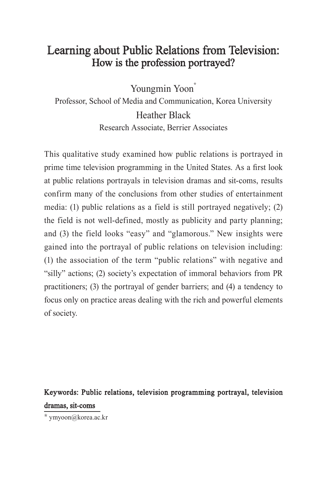# Learning about Public Relations from Television: How is the profession portrayed?

Youngmin Yoon<sup>\*</sup> Professor, School of Media and Communication, Korea University Heather Black Research Associate, Berrier Associates

This qualitative study examined how public relations is portrayed in prime time television programming in the United States. As a first look at public relations portrayals in television dramas and sit-coms, results confirm many of the conclusions from other studies of entertainment media: (1) public relations as a field is still portrayed negatively; (2) the field is not well-defined, mostly as publicity and party planning; and (3) the field looks "easy" and "glamorous." New insights were gained into the portrayal of public relations on television including: (1) the association of the term "public relations" with negative and "silly" actions; (2) society's expectation of immoral behaviors from PR practitioners; (3) the portrayal of gender barriers; and (4) a tendency to focus only on practice areas dealing with the rich and powerful elements of society.

## Keywords: Public relations, television programming portrayal, television dramas, sit-coms

\* ymyoon@korea.ac.kr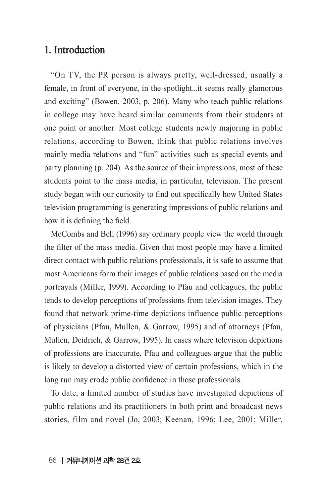### 1. Introduction

"On TV, the PR person is always pretty, well-dressed, usually a female, in front of everyone, in the spotlight...it seems really glamorous and exciting" (Bowen, 2003, p. 206). Many who teach public relations in college may have heard similar comments from their students at one point or another. Most college students newly majoring in public relations, according to Bowen, think that public relations involves mainly media relations and "fun" activities such as special events and party planning (p. 204). As the source of their impressions, most of these students point to the mass media, in particular, television. The present study began with our curiosity to find out specifically how United States television programming is generating impressions of public relations and how it is defining the field.

McCombs and Bell (1996) say ordinary people view the world through the filter of the mass media. Given that most people may have a limited direct contact with public relations professionals, it is safe to assume that most Americans form their images of public relations based on the media portrayals (Miller, 1999). According to Pfau and colleagues, the public tends to develop perceptions of professions from television images. They found that network prime-time depictions influence public perceptions of physicians (Pfau, Mullen, & Garrow, 1995) and of attorneys (Pfau, Mullen, Deidrich, & Garrow, 1995). In cases where television depictions of professions are inaccurate, Pfau and colleagues argue that the public is likely to develop a distorted view of certain professions, which in the long run may erode public confidence in those professionals.

To date, a limited number of studies have investigated depictions of public relations and its practitioners in both print and broadcast news stories, film and novel (Jo, 2003; Keenan, 1996; Lee, 2001; Miller,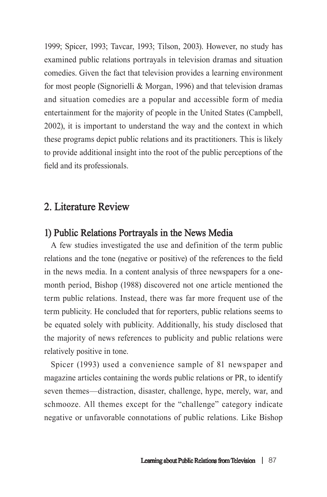1999; Spicer, 1993; Tavcar, 1993; Tilson, 2003). However, no study has examined public relations portrayals in television dramas and situation comedies. Given the fact that television provides a learning environment for most people (Signorielli & Morgan, 1996) and that television dramas and situation comedies are a popular and accessible form of media entertainment for the majority of people in the United States (Campbell, 2002), it is important to understand the way and the context in which these programs depict public relations and its practitioners. This is likely to provide additional insight into the root of the public perceptions of the field and its professionals.

## 2. Literature Review

### 1) Public Relations Portrayals in the News Media

A few studies investigated the use and definition of the term public relations and the tone (negative or positive) of the references to the field in the news media. In a content analysis of three newspapers for a onemonth period, Bishop (1988) discovered not one article mentioned the term public relations. Instead, there was far more frequent use of the term publicity. He concluded that for reporters, public relations seems to be equated solely with publicity. Additionally, his study disclosed that the majority of news references to publicity and public relations were relatively positive in tone.

Spicer (1993) used a convenience sample of 81 newspaper and magazine articles containing the words public relations or PR, to identify seven themes—distraction, disaster, challenge, hype, merely, war, and schmooze. All themes except for the "challenge" category indicate negative or unfavorable connotations of public relations. Like Bishop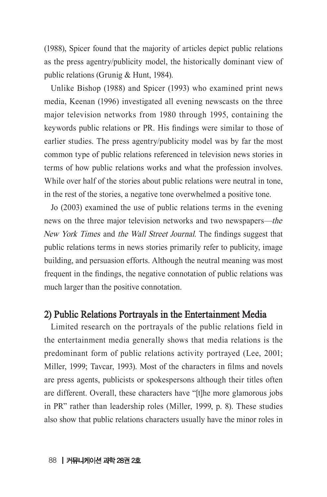(1988), Spicer found that the majority of articles depict public relations as the press agentry/publicity model, the historically dominant view of public relations (Grunig & Hunt, 1984).

Unlike Bishop (1988) and Spicer (1993) who examined print news media, Keenan (1996) investigated all evening newscasts on the three major television networks from 1980 through 1995, containing the keywords public relations or PR. His findings were similar to those of earlier studies. The press agentry/publicity model was by far the most common type of public relations referenced in television news stories in terms of how public relations works and what the profession involves. While over half of the stories about public relations were neutral in tone, in the rest of the stories, a negative tone overwhelmed a positive tone.

Jo (2003) examined the use of public relations terms in the evening news on the three major television networks and two newspapers—the New York Times and the Wall Street Journal. The findings suggest that public relations terms in news stories primarily refer to publicity, image building, and persuasion efforts. Although the neutral meaning was most frequent in the findings, the negative connotation of public relations was much larger than the positive connotation.

#### 2) Public Relations Portrayals in the Entertainment Media

Limited research on the portrayals of the public relations field in the entertainment media generally shows that media relations is the predominant form of public relations activity portrayed (Lee, 2001; Miller, 1999; Tavcar, 1993). Most of the characters in films and novels are press agents, publicists or spokespersons although their titles often are different. Overall, these characters have "[t]he more glamorous jobs in PR" rather than leadership roles (Miller, 1999, p. 8). These studies also show that public relations characters usually have the minor roles in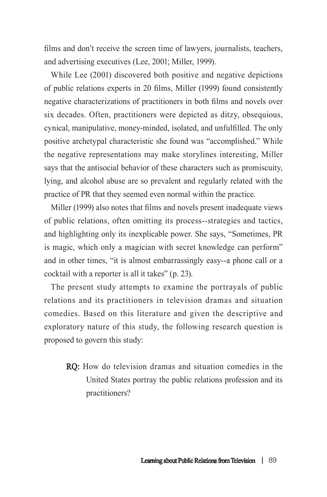films and don't receive the screen time of lawyers, journalists, teachers, and advertising executives (Lee, 2001; Miller, 1999).

While Lee (2001) discovered both positive and negative depictions of public relations experts in 20 films, Miller (1999) found consistently negative characterizations of practitioners in both films and novels over six decades. Often, practitioners were depicted as ditzy, obsequious, cynical, manipulative, money-minded, isolated, and unfulfilled. The only positive archetypal characteristic she found was "accomplished." While the negative representations may make storylines interesting, Miller says that the antisocial behavior of these characters such as promiscuity, lying, and alcohol abuse are so prevalent and regularly related with the practice of PR that they seemed even normal within the practice.

Miller (1999) also notes that films and novels present inadequate views of public relations, often omitting its process--strategies and tactics, and highlighting only its inexplicable power. She says, "Sometimes, PR is magic, which only a magician with secret knowledge can perform" and in other times, "it is almost embarrassingly easy--a phone call or a cocktail with a reporter is all it takes" (p. 23).

The present study attempts to examine the portrayals of public relations and its practitioners in television dramas and situation comedies. Based on this literature and given the descriptive and exploratory nature of this study, the following research question is proposed to govern this study:

RQ: How do television dramas and situation comedies in the United States portray the public relations profession and its practitioners?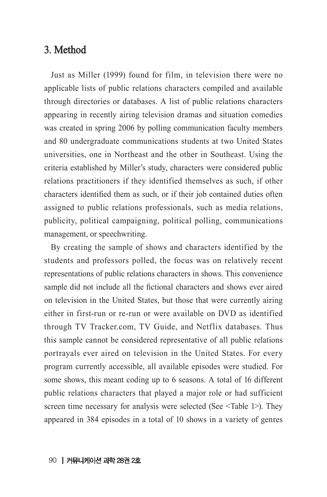### 3. Method

Just as Miller (1999) found for film, in television there were no applicable lists of public relations characters compiled and available through directories or databases. A list of public relations characters appearing in recently airing television dramas and situation comedies was created in spring 2006 by polling communication faculty members and 80 undergraduate communications students at two United States universities, one in Northeast and the other in Southeast. Using the criteria established by Miller's study, characters were considered public relations practitioners if they identified themselves as such, if other characters identified them as such, or if their job contained duties often assigned to public relations professionals, such as media relations, publicity, political campaigning, political polling, communications management, or speechwriting.

By creating the sample of shows and characters identified by the students and professors polled, the focus was on relatively recent representations of public relations characters in shows. This convenience sample did not include all the fictional characters and shows ever aired on television in the United States, but those that were currently airing either in first-run or re-run or were available on DVD as identified through TV Tracker.com, TV Guide, and Netflix databases. Thus this sample cannot be considered representative of all public relations portrayals ever aired on television in the United States. For every program currently accessible, all available episodes were studied. For some shows, this meant coding up to 6 seasons. A total of 16 different public relations characters that played a major role or had sufficient screen time necessary for analysis were selected (See <Table 1>). They appeared in 384 episodes in a total of 10 shows in a variety of genres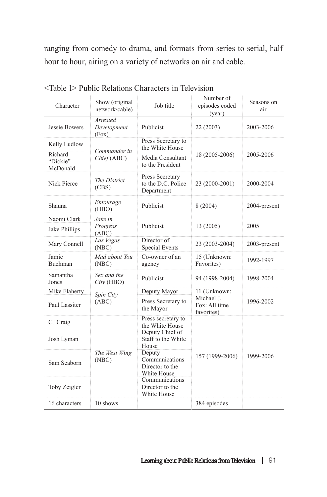ranging from comedy to drama, and formats from series to serial, half hour to hour, airing on a variety of networks on air and cable.

| Character                       | Show (original<br>network/cable) | Job title                                                  | Number of<br>episodes coded<br>(year)                     | Seasons on<br>air |
|---------------------------------|----------------------------------|------------------------------------------------------------|-----------------------------------------------------------|-------------------|
| Jessie Bowers                   | Arrested<br>Development<br>(Fox) | Publicist                                                  | 22 (2003)                                                 | 2003-2006         |
| Kelly Ludlow                    | Commander in<br>Chief(ABC)       | Press Secretary to<br>the White House                      | 18 (2005-2006)                                            | 2005-2006         |
| Richard<br>"Dickie"<br>McDonald |                                  | Media Consultant<br>to the President                       |                                                           |                   |
| Nick Pierce                     | The District<br>(CBS)            | Press Secretary<br>to the D.C. Police<br>Department        | 23 (2000-2001)                                            | 2000-2004         |
| Shauna                          | Entourage<br>(HBO)               | Publicist                                                  | 8(2004)                                                   | 2004-present      |
| Naomi Clark<br>Jake Phillips    | Jake in<br>Progress<br>(ABC)     | Publicist                                                  | 13 (2005)                                                 | 2005              |
| Mary Connell                    | Las Vegas<br>(NBC)               | Director of<br><b>Special Events</b>                       | 23 (2003-2004)                                            | 2003-present      |
| Jamie<br>Buchman                | Mad about You<br>(NBC)           | Co-owner of an<br>agency                                   | 15 (Unknown:<br>Favorites)                                | 1992-1997         |
| Samantha<br>Jones               | Sex and the<br>$City$ (HBO)      | Publicist                                                  | 94 (1998-2004)                                            | 1998-2004         |
| Mike Flaherty                   | Spin City<br>(ABC)               | Deputy Mayor                                               | 11 (Unknown:<br>Michael J.<br>Fox: All time<br>favorites) | 1996-2002         |
| Paul Lassiter                   |                                  | Press Secretary to<br>the Mayor                            |                                                           |                   |
| CJ Craig                        | The West Wing<br>(NBC)           | Press secretary to<br>the White House                      | 157 (1999-2006)                                           | 1999-2006         |
| Josh Lyman                      |                                  | Deputy Chief of<br>Staff to the White<br>House             |                                                           |                   |
| Sam Seaborn                     |                                  | Deputy<br>Communications<br>Director to the<br>White House |                                                           |                   |
| Toby Zeigler                    |                                  | Communications<br>Director to the<br>White House           |                                                           |                   |
| 16 characters                   | 10 shows                         |                                                            | 384 episodes                                              |                   |

<Table 1> Public Relations Characters in Television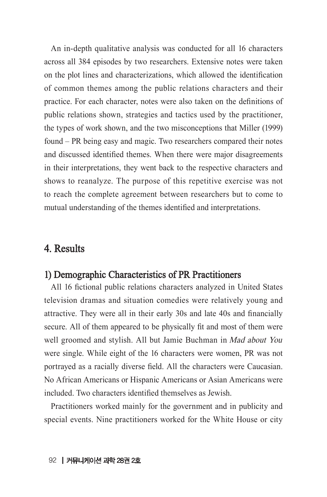An in-depth qualitative analysis was conducted for all 16 characters across all 384 episodes by two researchers. Extensive notes were taken on the plot lines and characterizations, which allowed the identification of common themes among the public relations characters and their practice. For each character, notes were also taken on the definitions of public relations shown, strategies and tactics used by the practitioner, the types of work shown, and the two misconceptions that Miller (1999) found – PR being easy and magic. Two researchers compared their notes and discussed identified themes. When there were major disagreements in their interpretations, they went back to the respective characters and shows to reanalyze. The purpose of this repetitive exercise was not to reach the complete agreement between researchers but to come to mutual understanding of the themes identified and interpretations.

## 4. Results

### 1) Demographic Characteristics of PR Practitioners

All 16 fictional public relations characters analyzed in United States television dramas and situation comedies were relatively young and attractive. They were all in their early 30s and late 40s and financially secure. All of them appeared to be physically fit and most of them were well groomed and stylish. All but Jamie Buchman in Mad about You were single. While eight of the 16 characters were women, PR was not portrayed as a racially diverse field. All the characters were Caucasian. No African Americans or Hispanic Americans or Asian Americans were included. Two characters identified themselves as Jewish.

Practitioners worked mainly for the government and in publicity and special events. Nine practitioners worked for the White House or city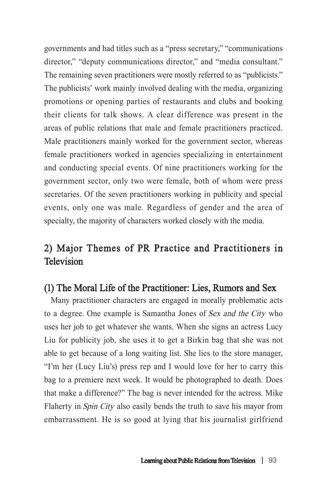governments and had titles such as a "press secretary," "communications director," "deputy communications director," and "media consultant." The remaining seven practitioners were mostly referred to as "publicists." The publicists' work mainly involved dealing with the media, organizing promotions or opening parties of restaurants and clubs and booking their clients for talk shows. A clear difference was present in the areas of public relations that male and female practitioners practiced. Male practitioners mainly worked for the government sector, whereas female practitioners worked in agencies specializing in entertainment and conducting special events. Of nine practitioners working for the government sector, only two were female, both of whom were press secretaries. Of the seven practitioners working in publicity and special events, only one was male. Regardless of gender and the area of specialty, the majority of characters worked closely with the media.

# 2) Major Themes of PR Practice and Practitioners in **Television**

### (1) The Moral Life of the Practitioner: Lies, Rumors and Sex

Many practitioner characters are engaged in morally problematic acts to a degree. One example is Samantha Jones of Sex and the City who uses her job to get whatever she wants. When she signs an actress Lucy Liu for publicity job, she uses it to get a Birkin bag that she was not able to get because of a long waiting list. She lies to the store manager, "I'm her (Lucy Liu's) press rep and I would love for her to carry this bag to a premiere next week. It would be photographed to death. Does that make a difference?" The bag is never intended for the actress. Mike Flaherty in Spin City also easily bends the truth to save his mayor from embarrassment. He is so good at lying that his journalist girlfriend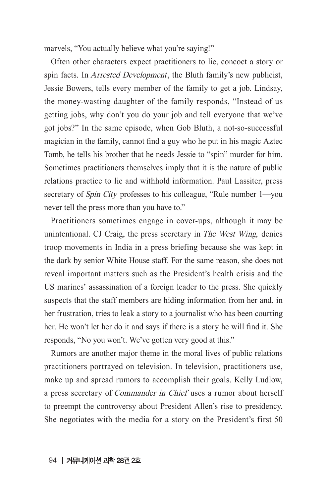marvels, "You actually believe what you're saying!"

Often other characters expect practitioners to lie, concoct a story or spin facts. In *Arrested Development*, the Bluth family's new publicist, Jessie Bowers, tells every member of the family to get a job. Lindsay, the money-wasting daughter of the family responds, "Instead of us getting jobs, why don't you do your job and tell everyone that we've got jobs?" In the same episode, when Gob Bluth, a not-so-successful magician in the family, cannot find a guy who he put in his magic Aztec Tomb, he tells his brother that he needs Jessie to "spin" murder for him. Sometimes practitioners themselves imply that it is the nature of public relations practice to lie and withhold information. Paul Lassiter, press secretary of *Spin City* professes to his colleague, "Rule number 1—you never tell the press more than you have to."

Practitioners sometimes engage in cover-ups, although it may be unintentional. CJ Craig, the press secretary in The West Wing, denies troop movements in India in a press briefing because she was kept in the dark by senior White House staff. For the same reason, she does not reveal important matters such as the President's health crisis and the US marines' assassination of a foreign leader to the press. She quickly suspects that the staff members are hiding information from her and, in her frustration, tries to leak a story to a journalist who has been courting her. He won't let her do it and says if there is a story he will find it. She responds, "No you won't. We've gotten very good at this."

Rumors are another major theme in the moral lives of public relations practitioners portrayed on television. In television, practitioners use, make up and spread rumors to accomplish their goals. Kelly Ludlow, a press secretary of Commander in Chief uses a rumor about herself to preempt the controversy about President Allen's rise to presidency. She negotiates with the media for a story on the President's first 50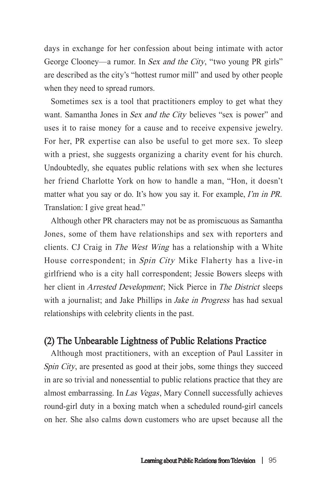days in exchange for her confession about being intimate with actor George Clooney—a rumor. In Sex and the City, "two young PR girls" are described as the city's "hottest rumor mill" and used by other people when they need to spread rumors.

Sometimes sex is a tool that practitioners employ to get what they want. Samantha Jones in Sex and the City believes "sex is power" and uses it to raise money for a cause and to receive expensive jewelry. For her, PR expertise can also be useful to get more sex. To sleep with a priest, she suggests organizing a charity event for his church. Undoubtedly, she equates public relations with sex when she lectures her friend Charlotte York on how to handle a man, "Hon, it doesn't matter what you say or do. It's how you say it. For example, I'm in PR. Translation: I give great head."

Although other PR characters may not be as promiscuous as Samantha Jones, some of them have relationships and sex with reporters and clients. CJ Craig in The West Wing has a relationship with a White House correspondent; in Spin City Mike Flaherty has a live-in girlfriend who is a city hall correspondent; Jessie Bowers sleeps with her client in *Arrested Development*; Nick Pierce in *The District* sleeps with a journalist; and Jake Phillips in *Jake in Progress* has had sexual relationships with celebrity clients in the past.

### (2) The Unbearable Lightness of Public Relations Practice

Although most practitioners, with an exception of Paul Lassiter in Spin City, are presented as good at their jobs, some things they succeed in are so trivial and nonessential to public relations practice that they are almost embarrassing. In Las Vegas, Mary Connell successfully achieves round-girl duty in a boxing match when a scheduled round-girl cancels on her. She also calms down customers who are upset because all the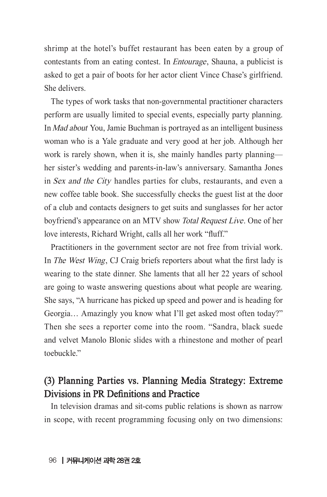shrimp at the hotel's buffet restaurant has been eaten by a group of contestants from an eating contest. In Entourage, Shauna, a publicist is asked to get a pair of boots for her actor client Vince Chase's girlfriend. She delivers.

The types of work tasks that non-governmental practitioner characters perform are usually limited to special events, especially party planning. In Mad about You, Jamie Buchman is portrayed as an intelligent business woman who is a Yale graduate and very good at her job. Although her work is rarely shown, when it is, she mainly handles party planning her sister's wedding and parents-in-law's anniversary. Samantha Jones in Sex and the City handles parties for clubs, restaurants, and even a new coffee table book. She successfully checks the guest list at the door of a club and contacts designers to get suits and sunglasses for her actor boyfriend's appearance on an MTV show Total Request Live. One of her love interests, Richard Wright, calls all her work "fluff."

Practitioners in the government sector are not free from trivial work. In *The West Wing*, CJ Craig briefs reporters about what the first lady is wearing to the state dinner. She laments that all her 22 years of school are going to waste answering questions about what people are wearing. She says, "A hurricane has picked up speed and power and is heading for Georgia… Amazingly you know what I'll get asked most often today?" Then she sees a reporter come into the room. "Sandra, black suede and velvet Manolo Blonic slides with a rhinestone and mother of pearl toebuckle."

## (3) Planning Parties vs. Planning Media Strategy: Extreme Divisions in PR Definitions and Practice

In television dramas and sit-coms public relations is shown as narrow in scope, with recent programming focusing only on two dimensions: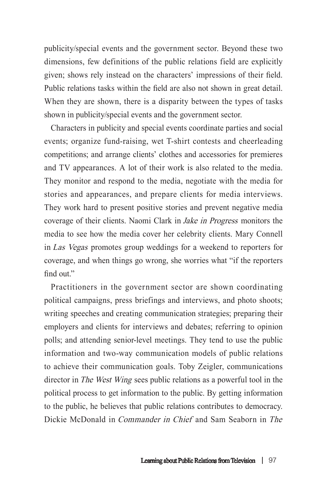publicity/special events and the government sector. Beyond these two dimensions, few definitions of the public relations field are explicitly given; shows rely instead on the characters' impressions of their field. Public relations tasks within the field are also not shown in great detail. When they are shown, there is a disparity between the types of tasks shown in publicity/special events and the government sector.

Characters in publicity and special events coordinate parties and social events; organize fund-raising, wet T-shirt contests and cheerleading competitions; and arrange clients' clothes and accessories for premieres and TV appearances. A lot of their work is also related to the media. They monitor and respond to the media, negotiate with the media for stories and appearances, and prepare clients for media interviews. They work hard to present positive stories and prevent negative media coverage of their clients. Naomi Clark in Jake in Progress monitors the media to see how the media cover her celebrity clients. Mary Connell in Las Vegas promotes group weddings for a weekend to reporters for coverage, and when things go wrong, she worries what "if the reporters find out"

Practitioners in the government sector are shown coordinating political campaigns, press briefings and interviews, and photo shoots; writing speeches and creating communication strategies; preparing their employers and clients for interviews and debates; referring to opinion polls; and attending senior-level meetings. They tend to use the public information and two-way communication models of public relations to achieve their communication goals. Toby Zeigler, communications director in The West Wing sees public relations as a powerful tool in the political process to get information to the public. By getting information to the public, he believes that public relations contributes to democracy. Dickie McDonald in Commander in Chief and Sam Seaborn in The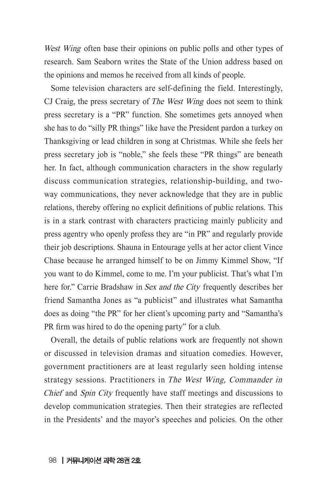West Wing often base their opinions on public polls and other types of research. Sam Seaborn writes the State of the Union address based on the opinions and memos he received from all kinds of people.

Some television characters are self-defining the field. Interestingly, CJ Craig, the press secretary of The West Wing does not seem to think press secretary is a "PR" function. She sometimes gets annoyed when she has to do "silly PR things" like have the President pardon a turkey on Thanksgiving or lead children in song at Christmas. While she feels her press secretary job is "noble," she feels these "PR things" are beneath her. In fact, although communication characters in the show regularly discuss communication strategies, relationship-building, and twoway communications, they never acknowledge that they are in public relations, thereby offering no explicit definitions of public relations. This is in a stark contrast with characters practicing mainly publicity and press agentry who openly profess they are "in PR" and regularly provide their job descriptions. Shauna in Entourage yells at her actor client Vince Chase because he arranged himself to be on Jimmy Kimmel Show, "If you want to do Kimmel, come to me. I'm your publicist. That's what I'm here for." Carrie Bradshaw in Sex and the City frequently describes her friend Samantha Jones as "a publicist" and illustrates what Samantha does as doing "the PR" for her client's upcoming party and "Samantha's PR firm was hired to do the opening party" for a club.

Overall, the details of public relations work are frequently not shown or discussed in television dramas and situation comedies. However, government practitioners are at least regularly seen holding intense strategy sessions. Practitioners in The West Wing, Commander in Chief and Spin City frequently have staff meetings and discussions to develop communication strategies. Then their strategies are reflected in the Presidents' and the mayor's speeches and policies. On the other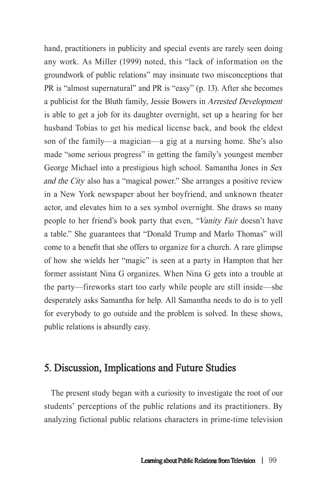hand, practitioners in publicity and special events are rarely seen doing any work. As Miller (1999) noted, this "lack of information on the groundwork of public relations" may insinuate two misconceptions that PR is "almost supernatural" and PR is "easy" (p. 13). After she becomes a publicist for the Bluth family, Jessie Bowers in Arrested Development is able to get a job for its daughter overnight, set up a hearing for her husband Tobias to get his medical license back, and book the eldest son of the family—a magician—a gig at a nursing home. She's also made "some serious progress" in getting the family's youngest member George Michael into a prestigious high school. Samantha Jones in Sex and the City also has a "magical power." She arranges a positive review in a New York newspaper about her boyfriend, and unknown theater actor, and elevates him to a sex symbol overnight. She draws so many people to her friend's book party that even, "Vanity Fair doesn't have a table." She guarantees that "Donald Trump and Marlo Thomas" will come to a benefit that she offers to organize for a church. A rare glimpse of how she wields her "magic" is seen at a party in Hampton that her former assistant Nina G organizes. When Nina G gets into a trouble at the party—fireworks start too early while people are still inside—she desperately asks Samantha for help. All Samantha needs to do is to yell for everybody to go outside and the problem is solved. In these shows, public relations is absurdly easy.

## 5. Discussion, Implications and Future Studies

The present study began with a curiosity to investigate the root of our students' perceptions of the public relations and its practitioners. By analyzing fictional public relations characters in prime-time television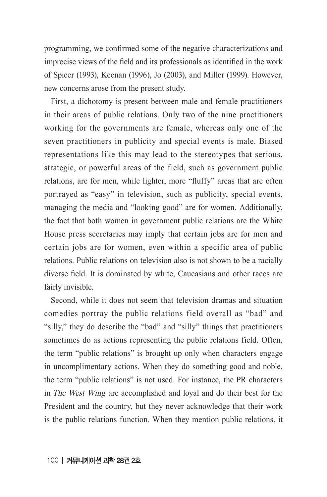programming, we confirmed some of the negative characterizations and imprecise views of the field and its professionals as identified in the work of Spicer (1993), Keenan (1996), Jo (2003), and Miller (1999). However, new concerns arose from the present study.

First, a dichotomy is present between male and female practitioners in their areas of public relations. Only two of the nine practitioners working for the governments are female, whereas only one of the seven practitioners in publicity and special events is male. Biased representations like this may lead to the stereotypes that serious, strategic, or powerful areas of the field, such as government public relations, are for men, while lighter, more "fluffy" areas that are often portrayed as "easy" in television, such as publicity, special events, managing the media and "looking good" are for women. Additionally, the fact that both women in government public relations are the White House press secretaries may imply that certain jobs are for men and certain jobs are for women, even within a specific area of public relations. Public relations on television also is not shown to be a racially diverse field. It is dominated by white, Caucasians and other races are fairly invisible.

Second, while it does not seem that television dramas and situation comedies portray the public relations field overall as "bad" and "silly," they do describe the "bad" and "silly" things that practitioners sometimes do as actions representing the public relations field. Often, the term "public relations" is brought up only when characters engage in uncomplimentary actions. When they do something good and noble, the term "public relations" is not used. For instance, the PR characters in The West Wing are accomplished and loyal and do their best for the President and the country, but they never acknowledge that their work is the public relations function. When they mention public relations, it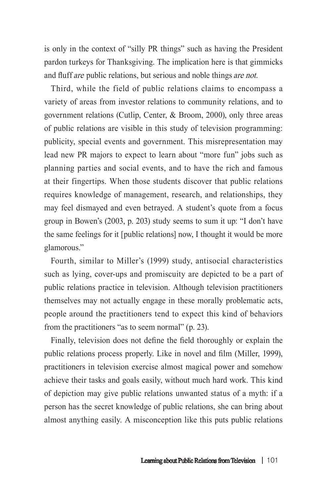is only in the context of "silly PR things" such as having the President pardon turkeys for Thanksgiving. The implication here is that gimmicks and fluff *are* public relations, but serious and noble things *are not*.

Third, while the field of public relations claims to encompass a variety of areas from investor relations to community relations, and to government relations (Cutlip, Center, & Broom, 2000), only three areas of public relations are visible in this study of television programming: publicity, special events and government. This misrepresentation may lead new PR majors to expect to learn about "more fun" jobs such as planning parties and social events, and to have the rich and famous at their fingertips. When those students discover that public relations requires knowledge of management, research, and relationships, they may feel dismayed and even betrayed. A student's quote from a focus group in Bowen's (2003, p. 203) study seems to sum it up: "I don't have the same feelings for it [public relations] now, I thought it would be more glamorous."

Fourth, similar to Miller's (1999) study, antisocial characteristics such as lying, cover-ups and promiscuity are depicted to be a part of public relations practice in television. Although television practitioners themselves may not actually engage in these morally problematic acts, people around the practitioners tend to expect this kind of behaviors from the practitioners "as to seem normal" (p. 23).

Finally, television does not define the field thoroughly or explain the public relations process properly. Like in novel and film (Miller, 1999), practitioners in television exercise almost magical power and somehow achieve their tasks and goals easily, without much hard work. This kind of depiction may give public relations unwanted status of a myth: if a person has the secret knowledge of public relations, she can bring about almost anything easily. A misconception like this puts public relations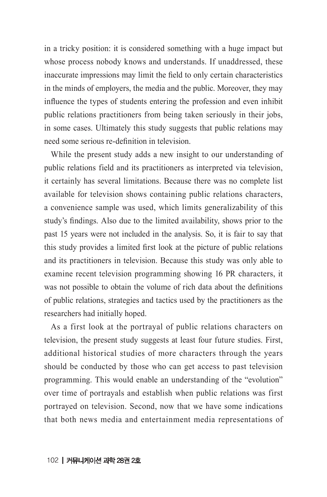in a tricky position: it is considered something with a huge impact but whose process nobody knows and understands. If unaddressed, these inaccurate impressions may limit the field to only certain characteristics in the minds of employers, the media and the public. Moreover, they may influence the types of students entering the profession and even inhibit public relations practitioners from being taken seriously in their jobs, in some cases. Ultimately this study suggests that public relations may need some serious re-definition in television.

While the present study adds a new insight to our understanding of public relations field and its practitioners as interpreted via television, it certainly has several limitations. Because there was no complete list available for television shows containing public relations characters, a convenience sample was used, which limits generalizability of this study's findings. Also due to the limited availability, shows prior to the past 15 years were not included in the analysis. So, it is fair to say that this study provides a limited first look at the picture of public relations and its practitioners in television. Because this study was only able to examine recent television programming showing 16 PR characters, it was not possible to obtain the volume of rich data about the definitions of public relations, strategies and tactics used by the practitioners as the researchers had initially hoped.

As a first look at the portrayal of public relations characters on television, the present study suggests at least four future studies. First, additional historical studies of more characters through the years should be conducted by those who can get access to past television programming. This would enable an understanding of the "evolution" over time of portrayals and establish when public relations was first portrayed on television. Second, now that we have some indications that both news media and entertainment media representations of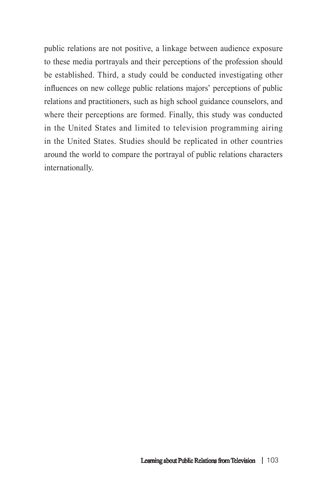public relations are not positive, a linkage between audience exposure to these media portrayals and their perceptions of the profession should be established. Third, a study could be conducted investigating other influences on new college public relations majors' perceptions of public relations and practitioners, such as high school guidance counselors, and where their perceptions are formed. Finally, this study was conducted in the United States and limited to television programming airing in the United States. Studies should be replicated in other countries around the world to compare the portrayal of public relations characters internationally.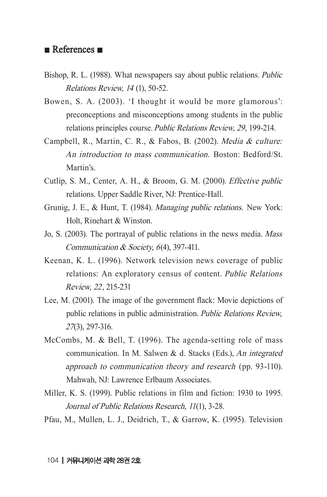#### ■ References ■

- Bishop, R. L. (1988). What newspapers say about public relations. Public Relations Review, 14 (1), 50-52.
- Bowen, S. A. (2003). 'I thought it would be more glamorous': preconceptions and misconceptions among students in the public relations principles course. Public Relations Review, 29, 199-214.
- Campbell, R., Martin, C. R., & Fabos, B. (2002). Media & culture: An introduction to mass communication. Boston: Bedford/St. Martin's.
- Cutlip, S. M., Center, A. H., & Broom, G. M. (2000). Effective public relations. Upper Saddle River, NJ: Prentice-Hall.
- Grunig, J. E., & Hunt, T. (1984). Managing public relations. New York: Holt, Rinehart & Winston.
- Jo, S. (2003). The portrayal of public relations in the news media. Mass Communication & Society, 6(4), 397-411.
- Keenan, K. L. (1996). Network television news coverage of public relations: An exploratory census of content. Public Relations Review, 22, 215-231
- Lee, M. (2001). The image of the government flack: Movie depictions of public relations in public administration. Public Relations Review, 27(3), 297-316.
- McCombs, M. & Bell, T. (1996). The agenda-setting role of mass communication. In M. Salwen & d. Stacks (Eds.), An integrated approach to communication theory and research (pp. 93-110). Mahwah, NJ: Lawrence Erlbaum Associates.
- Miller, K. S. (1999). Public relations in film and fiction: 1930 to 1995. Journal of Public Relations Research, 11(1), 3-28.

Pfau, M., Mullen, L. J., Deidrich, T., & Garrow, K. (1995). Television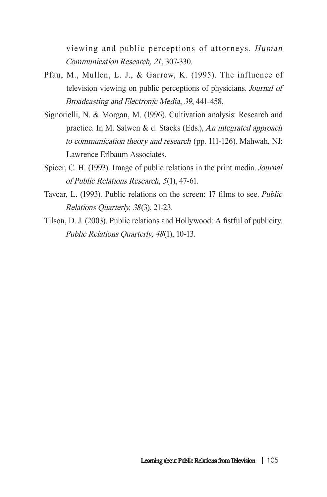viewing and public perceptions of attorneys. Human Communication Research, 21, 307-330.

- Pfau, M., Mullen, L. J., & Garrow, K. (1995). The influence of television viewing on public perceptions of physicians. Journal of Broadcasting and Electronic Media, 39, 441-458.
- Signorielli, N. & Morgan, M. (1996). Cultivation analysis: Research and practice. In M. Salwen & d. Stacks (Eds.), An integrated approach to communication theory and research (pp. 111-126). Mahwah, NJ: Lawrence Erlbaum Associates.
- Spicer, C. H. (1993). Image of public relations in the print media. Journal of Public Relations Research, 5(1), 47-61.
- Tavcar, L. (1993). Public relations on the screen: 17 films to see. Public Relations Quarterly, 38(3), 21-23.
- Tilson, D. J. (2003). Public relations and Hollywood: A fistful of publicity. Public Relations Quarterly, 48(1), 10-13.